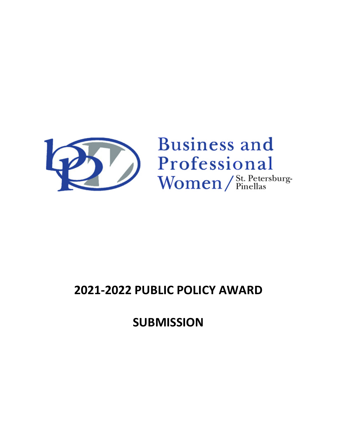

# **Business and** Professional Women / St. Petersburg-

## **2021-2022 PUBLIC POLICY AWARD**

**SUBMISSION**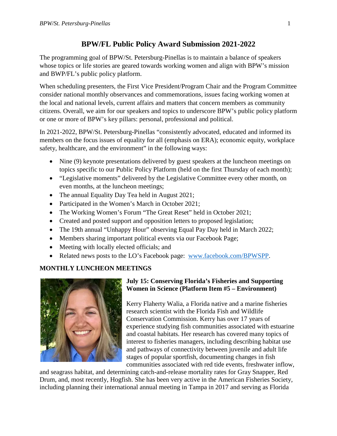## **BPW/FL Public Policy Award Submission 2021-2022**

The programming goal of BPW/St. Petersburg-Pinellas is to maintain a balance of speakers whose topics or life stories are geared towards working women and align with BPW's mission and BWP/FL's public policy platform.

When scheduling presenters, the First Vice President/Program Chair and the Program Committee consider national monthly observances and commemorations, issues facing working women at the local and national levels, current affairs and matters that concern members as community citizens. Overall, we aim for our speakers and topics to underscore BPW's public policy platform or one or more of BPW's key pillars: personal, professional and political.

In 2021-2022, BPW/St. Petersburg-Pinellas "consistently advocated, educated and informed its members on the focus issues of equality for all (emphasis on ERA); economic equity, workplace safety, healthcare, and the environment" in the following ways:

- Nine (9) keynote presentations delivered by guest speakers at the luncheon meetings on topics specific to our Public Policy Platform (held on the first Thursday of each month);
- "Legislative moments" delivered by the Legislative Committee every other month, on even months, at the luncheon meetings;
- The annual Equality Day Tea held in August 2021;
- Participated in the Women's March in October 2021;
- The Working Women's Forum "The Great Reset" held in October 2021;
- Created and posted support and opposition letters to proposed legislation;
- The 19th annual "Unhappy Hour" observing Equal Pay Day held in March 2022;
- Members sharing important political events via our Facebook Page;
- Meeting with locally elected officials; and
- Related news posts to the LO's Facebook page: [www.facebook.com/BPWSPP.](http://www.facebook.com/BPWSPP)

## **MONTHLY LUNCHEON MEETINGS**



## **July 15: Conserving Florida's Fisheries and Supporting Women in Science (Platform Item #5 – Environment)**

Kerry Flaherty Walia, a Florida native and a marine fisheries research scientist with the Florida Fish and Wildlife Conservation Commission. Kerry has over 17 years of experience studying fish communities associated with estuarine and coastal habitats. Her research has covered many topics of interest to fisheries managers, including describing habitat use and pathways of connectivity between juvenile and adult life stages of popular sportfish, documenting changes in fish communities associated with red tide events, freshwater inflow,

and seagrass habitat, and determining catch-and-release mortality rates for Gray Snapper, Red Drum, and, most recently, Hogfish. She has been very active in the American Fisheries Society, including planning their international annual meeting in Tampa in 2017 and serving as Florida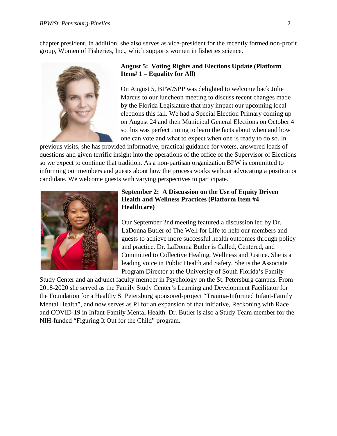chapter president. In addition, she also serves as vice-president for the recently formed non-profit group, Women of Fisheries, Inc., which supports women in fisheries science.



## **August 5: Voting Rights and Elections Update (Platform Item# 1 – Equality for All)**

On August 5, BPW/SPP was delighted to welcome back Julie Marcus to our luncheon meeting to discuss recent changes made by the Florida Legislature that may impact our upcoming local elections this fall. We had a Special Election Primary coming up on August 24 and then Municipal General Elections on October 4 so this was perfect timing to learn the facts about when and how one can vote and what to expect when one is ready to do so. In

previous visits, she has provided informative, practical guidance for voters, answered loads of questions and given terrific insight into the operations of the office of the Supervisor of Elections so we expect to continue that tradition. As a non-partisan organization BPW is committed to informing our members and guests about how the process works without advocating a position or candidate. We welcome guests with varying perspectives to participate.



## **September 2: A Discussion on the Use of Equity Driven Health and Wellness Practices (Platform Item #4 – Healthcare)**

Our September 2nd meeting featured a discussion led by Dr. LaDonna Butler of The Well for Life to help our members and guests to achieve more successful health outcomes through policy and practice. Dr. LaDonna Butler is Called, Centered, and Committed to Collective Healing, Wellness and Justice. She is a leading voice in Public Health and Safety. She is the Associate Program Director at the University of South Florida's Family

Study Center and an adjunct faculty member in Psychology on the St. Petersburg campus. From 2018-2020 she served as the Family Study Center's Learning and Development Facilitator for the Foundation for a Healthy St Petersburg sponsored-project "Trauma-Informed Infant-Family Mental Health", and now serves as PI for an expansion of that initiative, Reckoning with Race and COVID-19 in Infant-Family Mental Health. Dr. Butler is also a Study Team member for the NIH-funded "Figuring It Out for the Child" program.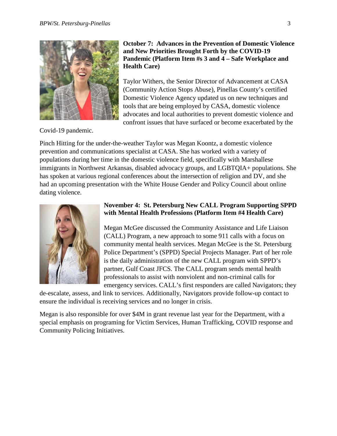

**October 7: Advances in the Prevention of Domestic Violence and New Priorities Brought Forth by the COVID-19 Pandemic (Platform Item #s 3 and 4 – Safe Workplace and Health Care)**

Taylor Withers, the Senior Director of Advancement at CASA (Community Action Stops Abuse), Pinellas County's certified Domestic Violence Agency updated us on new techniques and tools that are being employed by CASA, domestic violence advocates and local authorities to prevent domestic violence and confront issues that have surfaced or become exacerbated by the

Covid-19 pandemic.

Pinch Hitting for the under-the-weather Taylor was Megan Koontz, a domestic violence prevention and communications specialist at CASA. She has worked with a variety of populations during her time in the domestic violence field, specifically with Marshallese immigrants in Northwest Arkansas, disabled advocacy groups, and LGBTQIA+ populations. She has spoken at various regional conferences about the intersection of religion and DV, and she had an upcoming presentation with the White House Gender and Policy Council about online dating violence.



#### **November 4: St. Petersburg New CALL Program Supporting SPPD with Mental Health Professions (Platform Item #4 Health Care)**

Megan McGee discussed the Community Assistance and Life Liaison (CALL) Program, a new approach to some 911 calls with a focus on community mental health services. Megan McGee is the St. Petersburg Police Department's (SPPD) Special Projects Manager. Part of her role is the daily administration of the new CALL program with SPPD's partner, Gulf Coast JFCS. The CALL program sends mental health professionals to assist with nonviolent and non-criminal calls for emergency services. CALL's first responders are called Navigators; they

de-escalate, assess, and link to services. Additionally, Navigators provide follow-up contact to ensure the individual is receiving services and no longer in crisis.

Megan is also responsible for over \$4M in grant revenue last year for the Department, with a special emphasis on programing for Victim Services, Human Trafficking, COVID response and Community Policing Initiatives.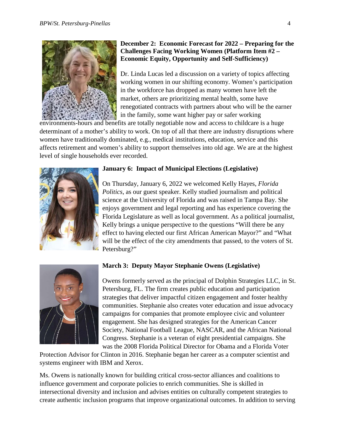

## **December 2: Economic Forecast for 2022 – Preparing for the Challenges Facing Working Women (Platform Item #2 – Economic Equity, Opportunity and Self-Sufficiency)**

Dr. Linda Lucas led a discussion on a variety of topics affecting working women in our shifting economy. Women's participation in the workforce has dropped as many women have left the market, others are prioritizing mental health, some have renegotiated contracts with partners about who will be the earner in the family, some want higher pay or safer working

environments-hours and benefits are totally negotiable now and access to childcare is a huge determinant of a mother's ability to work. On top of all that there are industry disruptions where women have traditionally dominated, e.g., medical institutions, education, service and this affects retirement and women's ability to support themselves into old age. We are at the highest level of single households ever recorded.



## **January 6: Impact of Municipal Elections (Legislative)**

On Thursday, January 6, 2022 we welcomed Kelly Hayes, *Florida Politics*, as our guest speaker. Kelly studied journalism and political science at the University of Florida and was raised in Tampa Bay. She enjoys government and legal reporting and has experience covering the Florida Legislature as well as local government. As a political journalist, Kelly brings a unique perspective to the questions "Will there be any effect to having elected our first African American Mayor?" and "What will be the effect of the city amendments that passed, to the voters of St. Petersburg?"



## **March 3: Deputy Mayor Stephanie Owens (Legislative)**

Owens formerly served as the principal of Dolphin Strategies LLC, in St. Petersburg, FL. The firm creates public education and participation strategies that deliver impactful citizen engagement and foster healthy communities. Stephanie also creates voter education and issue advocacy campaigns for companies that promote employee civic and volunteer engagement. She has designed strategies for the American Cancer Society, National Football League, NASCAR, and the African National Congress. Stephanie is a veteran of eight presidential campaigns. She was the 2008 Florida Political Director for Obama and a Florida Voter

Protection Advisor for Clinton in 2016. Stephanie began her career as a computer scientist and systems engineer with IBM and Xerox.

Ms. Owens is nationally known for building critical cross-sector alliances and coalitions to influence government and corporate policies to enrich communities. She is skilled in intersectional diversity and inclusion and advises entities on culturally competent strategies to create authentic inclusion programs that improve organizational outcomes. In addition to serving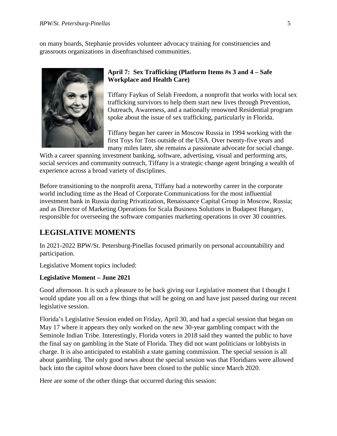on many boards, Stephanie provides volunteer advocacy training for constituencies and grassroots organizations in disenfranchised communities.



## **April 7: Sex Trafficking (Platform Items #s 3 and 4 – Safe Workplace and Health Care)**

Tiffany Faykus of Selah Freedom, a nonprofit that works with local sex trafficking survivors to help them start new lives through Prevention, Outreach, Awareness, and a nationally renowned Residential program spoke about the issue of sex trafficking, particularly in Florida.

Tiffany began her career in Moscow Russia in 1994 working with the first Toys for Tots outside of the USA. Over twenty-five years and many miles later, she remains a passionate advocate for social change.

With a career spanning investment banking, software, advertising, visual and performing arts, social services and community outreach, Tiffany is a strategic change agent bringing a wealth of experience across a broad variety of disciplines.

Before transitioning to the nonprofit arena, Tiffany had a noteworthy career in the corporate world including time as the Head of Corporate Communications for the most influential investment bank in Russia during Privatization, Renaissance Capital Group in Moscow, Russia; and as Director of Marketing Operations for Scala Business Solutions in Budapest Hungary, responsible for overseeing the software companies marketing operations in over 30 countries.

## **LEGISLATIVE MOMENTS**

In 2021-2022 BPW/St. Petersburg-Pinellas focused primarily on personal accountability and participation.

Legislative Moment topics included:

## **Legislative Moment – June 2021**

Good afternoon. It is such a pleasure to be back giving our Legislative moment that I thought I would update you all on a few things that will be going on and have just passed during our recent legislative session.

Florida's Legislative Session ended on Friday, April 30, and had a special session that began on May 17 where it appears they only worked on the new 30-year gambling compact with the Seminole Indian Tribe. Interestingly, Florida voters in 2018 said they wanted the public to have the final say on gambling in the State of Florida. They did not want politicians or lobbyists in charge. It is also anticipated to establish a state gaming commission. The special session is all about gambling. The only good news about the special session was that Floridians were allowed back into the capitol whose doors have been closed to the public since March 2020.

Here are some of the other things that occurred during this session: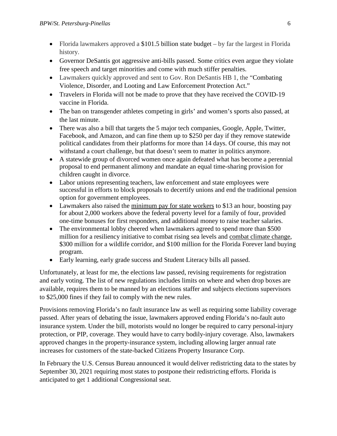- Florida lawmakers approved a \$101.5 billion state budget by far the largest in Florida history.
- Governor DeSantis got aggressive anti-bills passed. Some critics even argue they violate free speech and target minorities and come with much stiffer penalties.
- Lawmakers quickly approved and sent to Gov. Ron DeSantis HB 1, the "Combating" Violence, Disorder, and Looting and Law Enforcement Protection Act."
- Travelers in Florida will not be made to prove that they have received the COVID-19 vaccine in Florida.
- The ban on transgender athletes competing in girls' and women's sports also passed, at the last minute.
- There was also a bill that targets the 5 major tech companies, Google, Apple, Twitter, Facebook, and Amazon, and can fine them up to \$250 per day if they remove statewide political candidates from their platforms for more than 14 days. Of course, this may not withstand a court challenge, but that doesn't seem to matter in politics anymore.
- A statewide group of divorced women once again defeated what has become a perennial proposal to end permanent alimony and mandate an equal time-sharing provision for children caught in divorce.
- Labor unions representing teachers, law enforcement and state employees were successful in efforts to block proposals to decertify unions and end the traditional pension option for government employees.
- Lawmakers also raised the [minimum pay for state workers](https://www.palmbeachpost.com/story/news/politics/2021/03/04/florida-senate-president-looks-40-million-boost-pay-lowest-paid-state-workers/6918644002/) to \$13 an hour, boosting pay for about 2,000 workers above the federal poverty level for a family of four, provided one-time bonuses for first responders, and additional money to raise teacher salaries.
- The environmental lobby cheered when lawmakers agreed to spend more than \$500 million for a resiliency initiative to combat rising sea levels and [combat climate change,](https://www.palmbeachpost.com/story/news/2020/02/04/humans-need-to-reduce-carbon-emissions-florida-chief-science-officer-thomas-frazer-says/4659749002/) \$300 million for a wildlife corridor, and \$100 million for the Florida Forever land buying program.
- Early learning, early grade success and Student Literacy bills all passed.

Unfortunately, at least for me, the elections law passed, revising requirements for registration and early voting. The list of new regulations includes limits on where and when drop boxes are available, requires them to be manned by an elections staffer and subjects elections supervisors to \$25,000 fines if they fail to comply with the new rules.

Provisions removing Florida's no fault insurance law as well as requiring some liability coverage passed. After years of debating the issue, lawmakers approved ending Florida's no-fault auto insurance system. Under the bill, motorists would no longer be required to carry personal-injury protection, or PIP, coverage. They would have to carry bodily-injury coverage. Also, lawmakers approved changes in the property-insurance system, including allowing larger annual rate increases for customers of the state-backed Citizens Property Insurance Corp.

In February the U.S. Census Bureau announced it would deliver redistricting data to the states by September 30, 2021 requiring most states to postpone their redistricting efforts. Florida is anticipated to get 1 additional Congressional seat.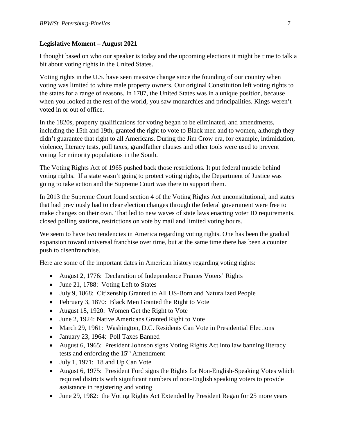## **Legislative Moment – August 2021**

I thought based on who our speaker is today and the upcoming elections it might be time to talk a bit about voting rights in the United States.

Voting rights in the U.S. have seen massive change since the founding of our country when voting was limited to white male property owners. Our original Constitution left voting rights to the states for a range of reasons. In 1787, the United States was in a unique position, because when you looked at the rest of the world, you saw monarchies and principalities. Kings weren't voted in or out of office.

In the 1820s, property qualifications for voting began to be eliminated, and amendments, including the 15th and 19th, granted the right to vote to Black men and to women, although they didn't guarantee that right to all Americans. During the Jim Crow era, for example, intimidation, violence, literacy tests, poll taxes, grandfather clauses and other tools were used to prevent voting for minority populations in the South.

The Voting Rights Act of 1965 pushed back those restrictions. It put federal muscle behind voting rights. If a state wasn't going to protect voting rights, the Department of Justice was going to take action and the Supreme Court was there to support them.

In 2013 the Supreme Court found section 4 of the Voting Rights Act unconstitutional, and states that had previously had to clear election changes through the federal government were free to make changes on their own. That led to new waves of state laws enacting voter ID requirements, closed polling stations, restrictions on vote by mail and limited voting hours.

We seem to have two tendencies in America regarding voting rights. One has been the gradual expansion toward universal franchise over time, but at the same time there has been a counter push to disenfranchise.

Here are some of the important dates in American history regarding voting rights:

- August 2, 1776: Declaration of Independence Frames Voters' Rights
- June 21, 1788: Voting Left to States
- July 9, 1868: Citizenship Granted to All US-Born and Naturalized People
- February 3, 1870: Black Men Granted the Right to Vote
- August 18, 1920: Women Get the Right to Vote
- June 2, 1924: Native Americans Granted Right to Vote
- March 29, 1961: Washington, D.C. Residents Can Vote in Presidential Elections
- January 23, 1964: Poll Taxes Banned
- August 6, 1965: President Johnson signs Voting Rights Act into law banning literacy tests and enforcing the 15<sup>th</sup> Amendment
- July 1, 1971: 18 and Up Can Vote
- August 6, 1975: President Ford signs the Rights for Non-English-Speaking Votes which required districts with significant numbers of non-English speaking voters to provide assistance in registering and voting
- June 29, 1982: the Voting Rights Act Extended by President Regan for 25 more years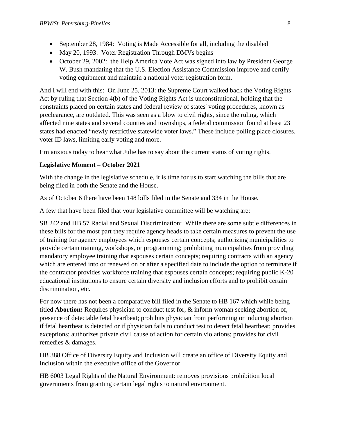- September 28, 1984: Voting is Made Accessible for all, including the disabled
- May 20, 1993: Voter Registration Through DMVs begins
- October 29, 2002: the Help America Vote Act was signed into law by President George W. Bush mandating that the U.S. Election Assistance Commission improve and certify voting equipment and maintain a national voter registration form.

And I will end with this: On June 25, 2013: the Supreme Court walked back the Voting Rights Act by ruling that Section 4(b) of the Voting Rights Act is unconstitutional, holding that the constraints placed on certain states and federal review of states' voting procedures, known as preclearance, are outdated. This was seen as a blow to civil rights, since the ruling, which affected nine states and several counties and townships, a federal commission found at least 23 states had enacted "newly restrictive statewide voter laws." These include polling place closures, voter ID laws, limiting early voting and more.

I'm anxious today to hear what Julie has to say about the current status of voting rights.

## **Legislative Moment – October 2021**

With the change in the legislative schedule, it is time for us to start watching the bills that are being filed in both the Senate and the House.

As of October 6 there have been 148 bills filed in the Senate and 334 in the House.

A few that have been filed that your legislative committee will be watching are:

SB 242 and HB 57 Racial and Sexual Discrimination: While there are some subtle differences in these bills for the most part they require agency heads to take certain measures to prevent the use of training for agency employees which espouses certain concepts; authorizing municipalities to provide certain training, workshops, or programming; prohibiting municipalities from providing mandatory employee training that espouses certain concepts; requiring contracts with an agency which are entered into or renewed on or after a specified date to include the option to terminate if the contractor provides workforce training that espouses certain concepts; requiring public K-20 educational institutions to ensure certain diversity and inclusion efforts and to prohibit certain discrimination, etc.

For now there has not been a comparative bill filed in the Senate to HB 167 which while being titled **Abortion:** Requires physician to conduct test for, & inform woman seeking abortion of, presence of detectable fetal heartbeat; prohibits physician from performing or inducing abortion if fetal heartbeat is detected or if physician fails to conduct test to detect fetal heartbeat; provides exceptions; authorizes private civil cause of action for certain violations; provides for civil remedies & damages.

HB 388 Office of Diversity Equity and Inclusion will create an office of Diversity Equity and Inclusion within the executive office of the Governor.

HB 6003 Legal Rights of the Natural Environment: removes provisions prohibition local governments from granting certain legal rights to natural environment.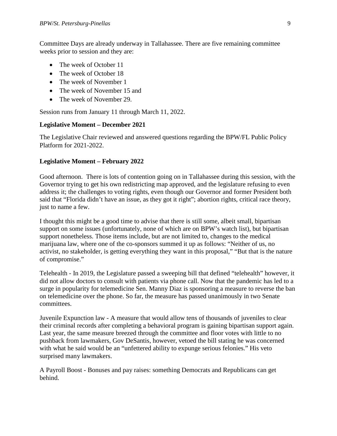Committee Days are already underway in Tallahassee. There are five remaining committee weeks prior to session and they are:

- The week of October 11
- The week of October 18
- The week of November 1
- The week of November 15 and
- The week of November 29.

Session runs from January 11 through March 11, 2022.

#### **Legislative Moment – December 2021**

The Legislative Chair reviewed and answered questions regarding the BPW/FL Public Policy Platform for 2021-2022.

## **Legislative Moment – February 2022**

Good afternoon. There is lots of contention going on in Tallahassee during this session, with the Governor trying to get his own redistricting map approved, and the legislature refusing to even address it; the challenges to voting rights, even though our Governor and former President both said that "Florida didn't have an issue, as they got it right"; abortion rights, critical race theory, just to name a few.

I thought this might be a good time to advise that there is still some, albeit small, bipartisan support on some issues (unfortunately, none of which are on BPW's watch list), but bipartisan support nonetheless. Those items include, but are not limited to, changes to the medical marijuana law, where one of the co-sponsors summed it up as follows: "Neither of us, no activist, no stakeholder, is getting everything they want in this proposal," "But that is the nature of compromise."

Telehealth - In 2019, the Legislature passed a sweeping bill that defined "telehealth" however, it did not allow doctors to consult with patients via phone call. Now that the pandemic has led to a surge in popularity for telemedicine Sen. Manny Diaz is sponsoring a measure to reverse the ban on telemedicine over the phone. So far, the measure has passed unanimously in two Senate committees.

Juvenile Expunction law - A measure that would allow tens of thousands of juveniles to clear their criminal records after completing a behavioral program is gaining bipartisan support again. Last year, the same measure breezed through the committee and floor votes with little to no pushback from lawmakers, Gov DeSantis, however, vetoed the bill stating he was concerned with what he said would be an "unfettered ability to expunge serious felonies." His veto surprised many lawmakers.

A Payroll Boost - Bonuses and pay raises: something Democrats and Republicans can get behind.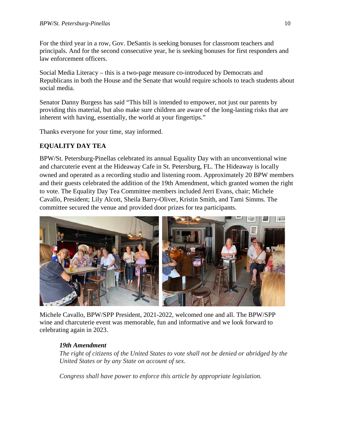For the third year in a row, Gov. DeSantis is seeking bonuses for classroom teachers and principals. And for the second consecutive year, he is seeking bonuses for first responders and law enforcement officers.

Social Media Literacy – this is a two-page measure co-introduced by Democrats and Republicans in both the House and the Senate that would require schools to teach students about social media.

Senator Danny Burgess has said "This bill is intended to empower, not just our parents by providing this material, but also make sure children are aware of the long-lasting risks that are inherent with having, essentially, the world at your fingertips."

Thanks everyone for your time, stay informed.

## **EQUALITY DAY TEA**

BPW/St. Petersburg-Pinellas celebrated its annual Equality Day with an unconventional wine and charcuterie event at the Hideaway Cafe in St. Petersburg, FL. The Hideaway is locally owned and operated as a recording studio and listening room. Approximately 20 BPW members and their guests celebrated the addition of the 19th Amendment, which granted women the right to vote. The Equality Day Tea Committee members included Jerri Evans, chair; Michele Cavallo, President; Lily Alcott, Sheila Barry-Oliver, Kristin Smith, and Tami Simms. The committee secured the venue and provided door prizes for tea participants.



Michele Cavallo, BPW/SPP President, 2021-2022, welcomed one and all. The BPW/SPP wine and charcuterie event was memorable, fun and informative and we look forward to celebrating again in 2023.

## *19th Amendment*

*The right of citizens of the United States to vote shall not be denied or abridged by the United States or by any State on account of sex.*

*Congress shall have power to enforce this article by appropriate legislation.*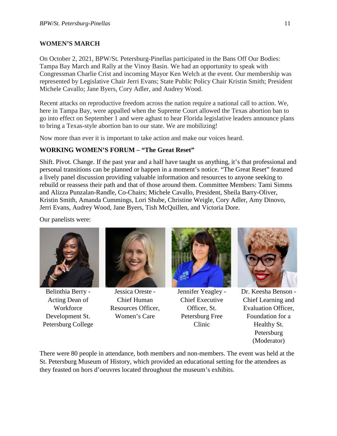## **WOMEN'S MARCH**

On October 2, 2021, BPW/St. Petersburg-Pinellas participated in the Bans Off Our Bodies: Tampa Bay March and Rally at the Vinoy Basin. We had an opportunity to speak with Congressman Charlie Crist and incoming Mayor Ken Welch at the event. Our membership was represented by Legislative Chair Jerri Evans; State Public Policy Chair Kristin Smith; President Michele Cavallo; Jane Byers, Cory Adler, and Audrey Wood.

Recent attacks on reproductive freedom across the nation require a national call to action. We, here in Tampa Bay, were appalled when the Supreme Court allowed the Texas abortion ban to go into effect on September 1 and were aghast to hear Florida legislative leaders announce plans to bring a Texas-style abortion ban to our state. We are mobilizing!

Now more than ever it is important to take action and make our voices heard.

## **WORKING WOMEN'S FORUM – "The Great Reset"**

Shift. Pivot. Change. If the past year and a half have taught us anything, it's that professional and personal transitions can be planned or happen in a moment's notice. "The Great Reset" featured a lively panel discussion providing valuable information and resources to anyone seeking to rebuild or reassess their path and that of those around them. Committee Members: Tami Simms and Alizza Punzalan-Randle, Co-Chairs; Michele Cavallo, President, Sheila Barry-Oliver, Kristin Smith, Amanda Cummings, Lori Shube, Christine Weigle, Cory Adler, Amy Dinovo, Jerri Evans, Audrey Wood, Jane Byers, Tish McQuillen, and Victoria Dore.

Our panelists were:



Belinthia Berry - Acting Dean of **Workforce** Development St. Petersburg College



Jessica Oreste - Chief Human Resources Officer, Women's Care



Jennifer Yeagley - Chief Executive Officer, St. Petersburg Free Clinic



Dr. Keesha Benson - Chief Learning and Evaluation Officer, Foundation for a Healthy St. Petersburg (Moderator)

There were 80 people in attendance, both members and non-members. The event was held at the St. Petersburg Museum of History, which provided an educational setting for the attendees as they feasted on hors d'oeuvres located throughout the museum's exhibits.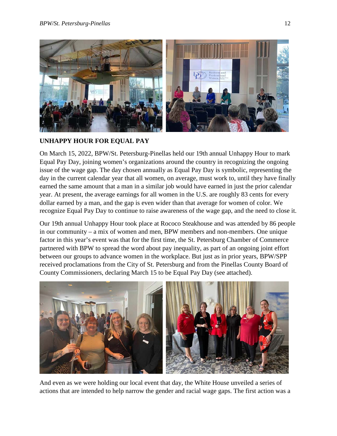

## **UNHAPPY HOUR FOR EQUAL PAY**

On March 15, 2022, BPW/St. Petersburg-Pinellas held our 19th annual Unhappy Hour to mark Equal Pay Day, joining women's organizations around the country in recognizing the ongoing issue of the wage gap. The day chosen annually as Equal Pay Day is symbolic, representing the day in the current calendar year that all women, on average, must work to, until they have finally earned the same amount that a man in a similar job would have earned in just the prior calendar year. At present, the average earnings for all women in the U.S. are roughly 83 cents for every dollar earned by a man, and the gap is even wider than that average for women of color. We recognize Equal Pay Day to continue to raise awareness of the wage gap, and the need to close it.

Our 19th annual Unhappy Hour took place at Rococo Steakhouse and was attended by 86 people in our community – a mix of women and men, BPW members and non-members. One unique factor in this year's event was that for the first time, the St. Petersburg Chamber of Commerce partnered with BPW to spread the word about pay inequality, as part of an ongoing joint effort between our groups to advance women in the workplace. But just as in prior years, BPW/SPP received proclamations from the City of St. Petersburg and from the Pinellas County Board of County Commissioners, declaring March 15 to be Equal Pay Day (see attached).



And even as we were holding our local event that day, the White House unveiled a series of actions that are intended to help narrow the gender and racial wage gaps. The first action was a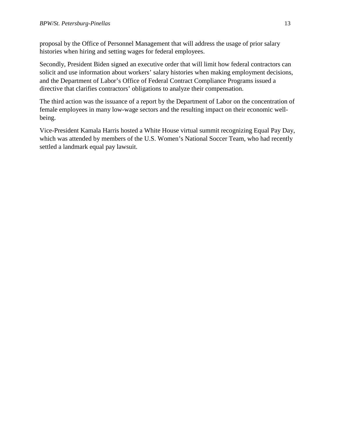proposal by the Office of Personnel Management that will address the usage of prior salary histories when hiring and setting wages for federal employees.

Secondly, President Biden signed an executive order that will limit how federal contractors can solicit and use information about workers' salary histories when making employment decisions, and the Department of Labor's Office of Federal Contract Compliance Programs issued a directive that clarifies contractors' obligations to analyze their compensation.

The third action was the issuance of a report by the Department of Labor on the concentration of female employees in many low-wage sectors and the resulting impact on their economic wellbeing.

Vice-President Kamala Harris hosted a White House virtual summit recognizing Equal Pay Day, which was attended by members of the U.S. Women's National Soccer Team, who had recently settled a landmark equal pay lawsuit.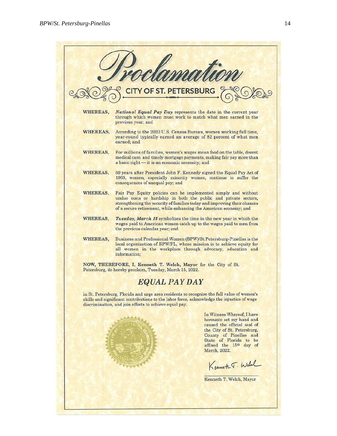

Kenneth T. Welch, Mayor